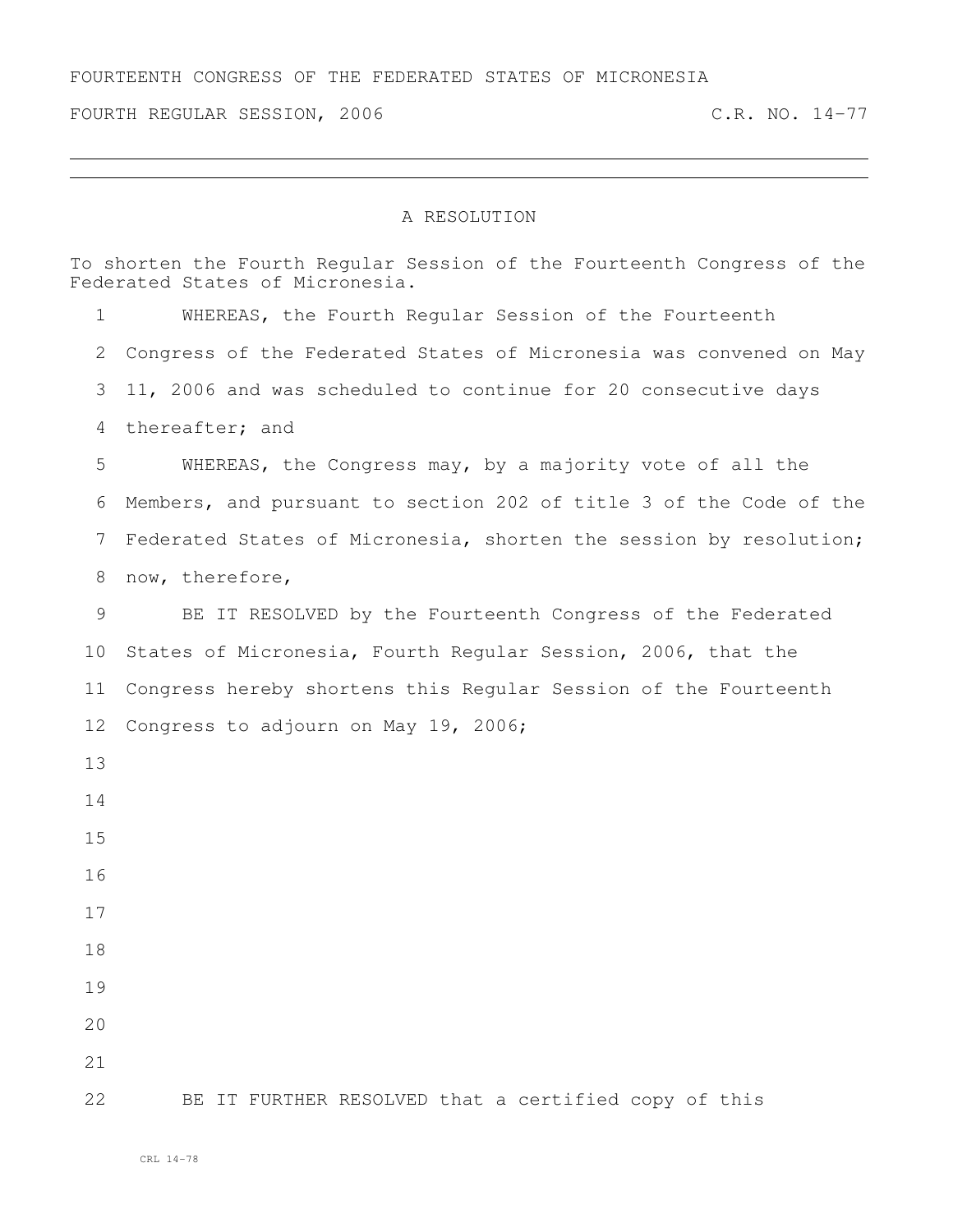FOURTEENTH CONGRESS OF THE FEDERATED STATES OF MICRONESIA

FOURTH REGULAR SESSION, 2006 C.R. NO. 14-77

## A RESOLUTION

To shorten the Fourth Regular Session of the Fourteenth Congress of the Federated States of Micronesia. WHEREAS, the Fourth Regular Session of the Fourteenth Congress of the Federated States of Micronesia was convened on May 11, 2006 and was scheduled to continue for 20 consecutive days thereafter; and WHEREAS, the Congress may, by a majority vote of all the Members, and pursuant to section 202 of title 3 of the Code of the Federated States of Micronesia, shorten the session by resolution; now, therefore, BE IT RESOLVED by the Fourteenth Congress of the Federated States of Micronesia, Fourth Regular Session, 2006, that the Congress hereby shortens this Regular Session of the Fourteenth Congress to adjourn on May 19, 2006; BE IT FURTHER RESOLVED that a certified copy of this